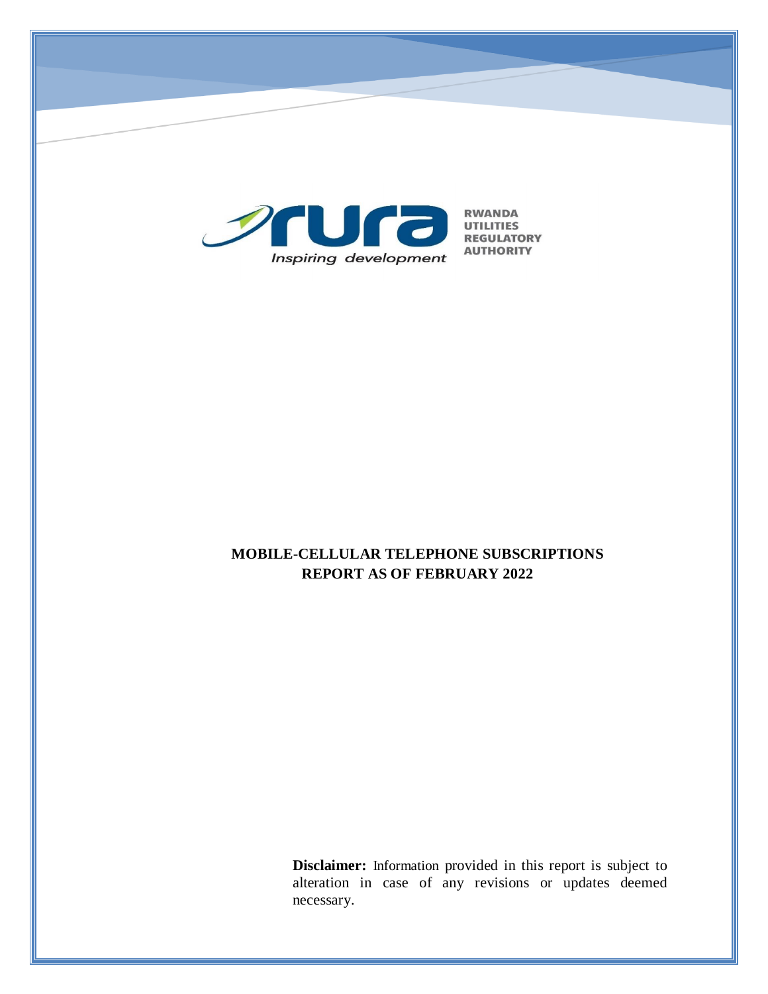

# **MOBILE-CELLULAR TELEPHONE SUBSCRIPTIONS REPORT AS OF FEBRUARY 2022**

**Disclaimer:** Information provided in this report is subject to alteration in case of any revisions or updates deemed necessary.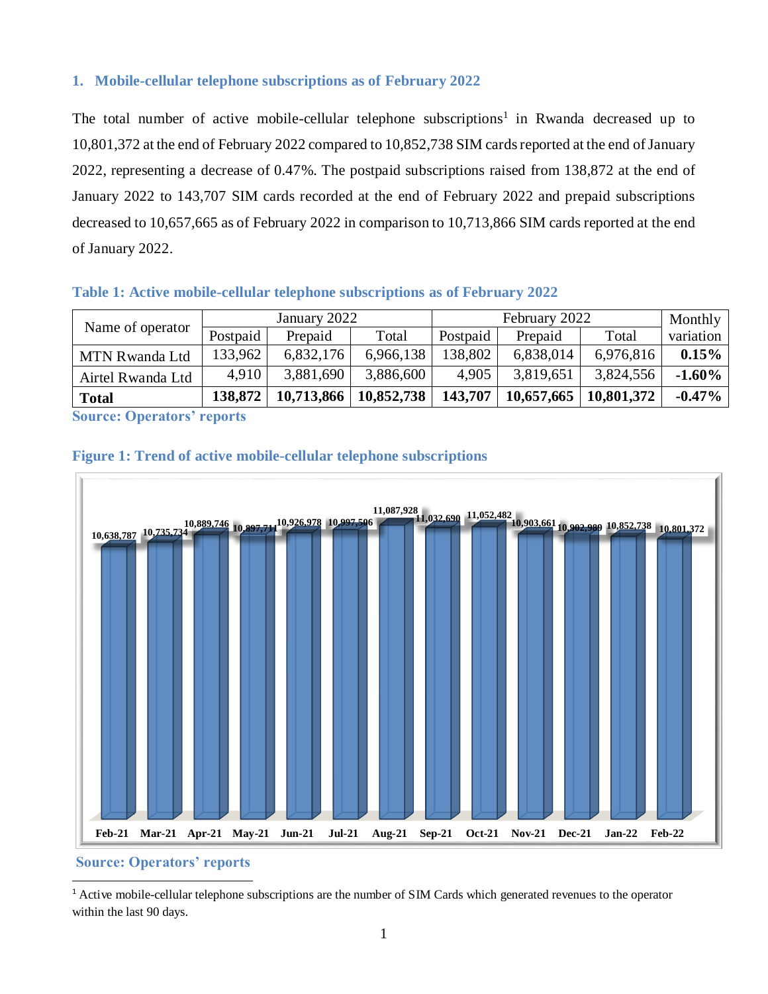## **1. Mobile-cellular telephone subscriptions as of February 2022**

The total number of active mobile-cellular telephone subscriptions<sup>1</sup> in Rwanda decreased up to 10,801,372 at the end of February 2022 compared to 10,852,738 SIM cards reported at the end of January 2022, representing a decrease of 0.47%. The postpaid subscriptions raised from 138,872 at the end of January 2022 to 143,707 SIM cards recorded at the end of February 2022 and prepaid subscriptions decreased to 10,657,665 as of February 2022 in comparison to 10,713,866 SIM cards reported at the end of January 2022.

#### **Table 1: Active mobile-cellular telephone subscriptions as of February 2022**

| January 2022 |            | February 2022 |          |            | Monthly    |           |
|--------------|------------|---------------|----------|------------|------------|-----------|
| Postpaid     | Prepaid    | Total         | Postpaid | Prepaid    | Total      | variation |
| 133,962      | 6,832,176  | 6,966,138     | 138,802  | 6,838,014  | 6,976,816  | 0.15%     |
| 4,910        | 3,881,690  | 3,886,600     | 4,905    | 3,819,651  | 3,824,556  | $-1.60\%$ |
| 138,872      | 10,713,866 | 10,852,738    | 143,707  | 10,657,665 | 10,801,372 | $-0.47\%$ |
|              |            |               |          |            |            |           |

**Source: Operators' reports**

## **Figure 1: Trend of active mobile-cellular telephone subscriptions**



**Source: Operators' reports**

 $\overline{a}$ 

<sup>1</sup> Active mobile-cellular telephone subscriptions are the number of SIM Cards which generated revenues to the operator within the last 90 days.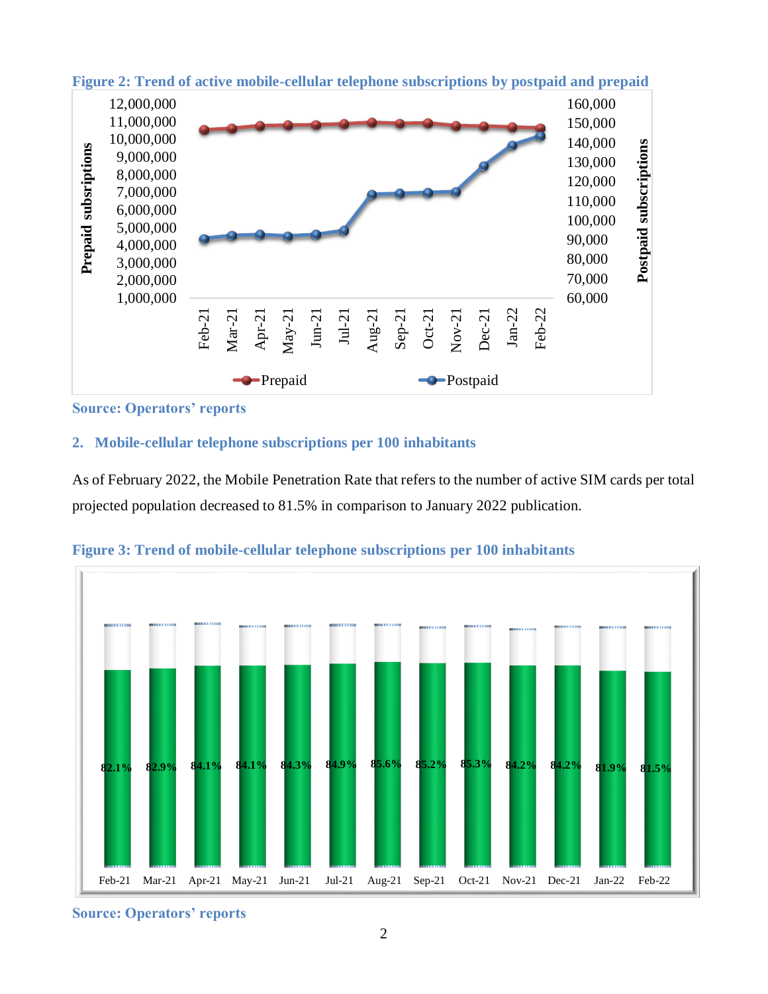

**Figure 2: Trend of active mobile-cellular telephone subscriptions by postpaid and prepaid**

**Source: Operators' reports**

# **2. Mobile-cellular telephone subscriptions per 100 inhabitants**

As of February 2022, the Mobile Penetration Rate that refers to the number of active SIM cards per total projected population decreased to 81.5% in comparison to January 2022 publication.



**Figure 3: Trend of mobile-cellular telephone subscriptions per 100 inhabitants**

**Source: Operators' reports**